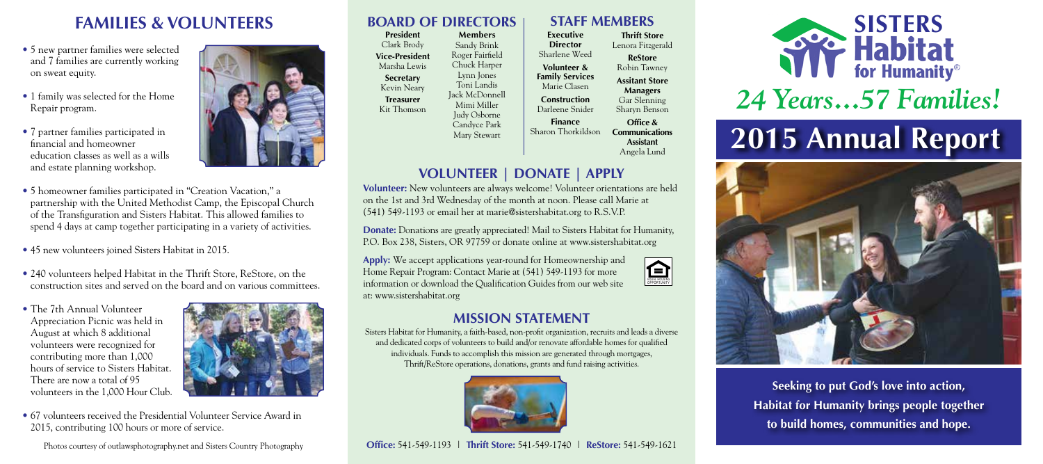# **FAMILIES & VOLUNTEERS**

• 5 new partner families were selected and 7 families are currently working on sweat equity.

- 1 family was selected for the Home Repair program.
- 7 partner families participated in financial and homeowner education classes as well as a wills and estate planning workshop.



- 5 homeowner families participated in "Creation Vacation," a partnership with the United Methodist Camp, the Episcopal Church of the Transfiguration and Sisters Habitat. This allowed families to spend 4 days at camp together participating in a variety of activities.
- 45 new volunteers joined Sisters Habitat in 2015.
- 240 volunteers helped Habitat in the Thrift Store, ReStore, on the construction sites and served on the board and on various committees.
- The 7th Annual Volunteer Appreciation Picnic was held in August at which 8 additional volunteers were recognized for contributing more than 1,000 hours of service to Sisters Habitat. There are now a total of 95 volunteers in the 1,000 Hour Club.



• 67 volunteers received the Presidential Volunteer Service Award in 2015, contributing 100 hours or more of service.

Photos courtesy of outlawsphotography.net and Sisters Country Photography

# **BOARD OF DIRECTORS STAFF MEMBERS**

**President** Clark Brody **Vice-President** Marsha Lewis **Secretary** Kevin Neary **Treasurer** Kit Thomson **Members** Sandy Brink Roger Fairfield Chuck Harper Lynn Jones Toni Landis Jack McDonnell Mimi Miller Judy Osborne Candyce Park Mary Stewart

**Executive Director** Sharlene Weed **Volunteer & Family Services** Marie Clasen **Construction** Darleene Snider **Finance** Sharon Thorkildson **Communications Thrift Store** Lenora Fitzgerald **ReStore** Robin Tawney **Assitant Store Managers** Gar Slenning Sharyn Benson **Office &**

**Assistant** Angela Lund

EQUAL HOUSING OPPORTUNITY

# **VOLUNTEER | DONATE | APPLY**

**Volunteer:** New volunteers are always welcome! Volunteer orientations are held on the 1st and 3rd Wednesday of the month at noon. Please call Marie at (541) 549-1193 or email her at marie@sistershabitat.org to R.S.V.P.

**Donate:** Donations are greatly appreciated! Mail to Sisters Habitat for Humanity, P.O. Box 238, Sisters, OR 97759 or donate online at www.sistershabitat.org

**Apply:** We accept applications year-round for Homeownership and Home Repair Program: Contact Marie at (541) 549-1193 for more information or download the Qualification Guides from our web site at: www.sistershabitat.org

## **MISSION STATEMENT**

Sisters Habitat for Humanity, a faith-based, non-profit organization, recruits and leads a diverse and dedicated corps of volunteers to build and/or renovate affordable homes for qualified individuals. Funds to accomplish this mission are generated through mortgages, Thrift/ReStore operations, donations, grants and fund raising activities.



### **Office:** 541-549-1193 | **Thrift Store:** 541-549-1740 | **ReStore:** 541-549-1621



# *24 Years...57 Families!*

# **2015 Annual Report**



**Seeking to put God's love into action, Habitat for Humanity brings people together to build homes, communities and hope.**